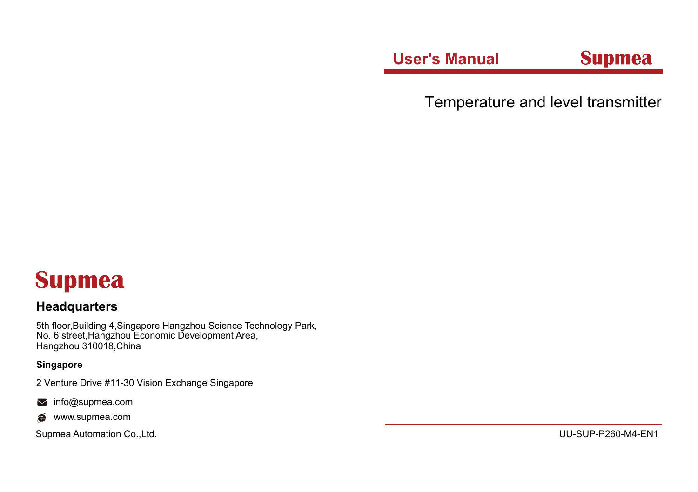**User's Manual Supmea** 

Temperature and level transmitter

# **Supmea**

## **Headquarters**

5th floor,Building 4,Singapore Hangzhou Science Technology Park, No. 6 street,Hangzhou Economic Development Area, Hangzhou 310018,China

## **Singapore**

2 Venture Drive #11-30 Vision Exchange Singapore

- minfo@supmea.com
- $\bullet$  www.supmea.com

Supmea Automation Co.,Ltd. UU-SUP-P260-M4-EN1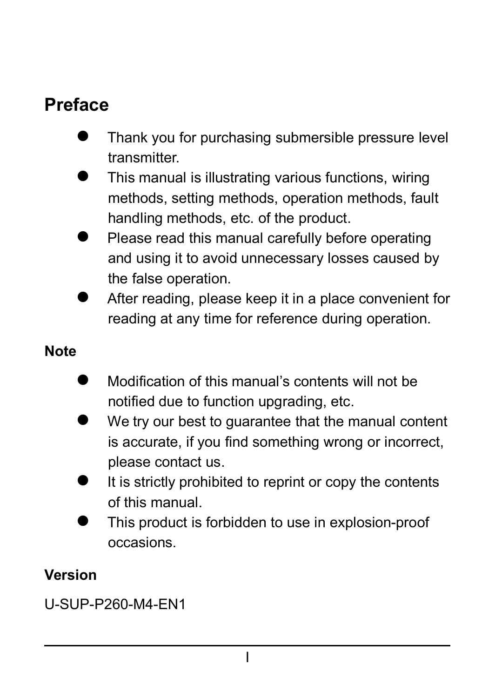## **Preface**

- Thank you for purchasing submersible pressure level transmitter.
- This manual is illustrating various functions, wiring methods, setting methods, operation methods, fault handling methods, etc. of the product.
- Please read this manual carefully before operating and using it to avoid unnecessary losses caused by the false operation.
- After reading, please keep it in a place convenient for reading at any time for reference during operation.

#### **Note**

- Modification of this manual's contents will not be notified due to function upgrading, etc.
- We try our best to guarantee that the manual content is accurate, if you find something wrong or incorrect. please contact us.
- It is strictly prohibited to reprint or copy the contents of this manual.
- This product is forbidden to use in explosion-proof occasions.

## **Version**

U-SUP-P260-M4-EN1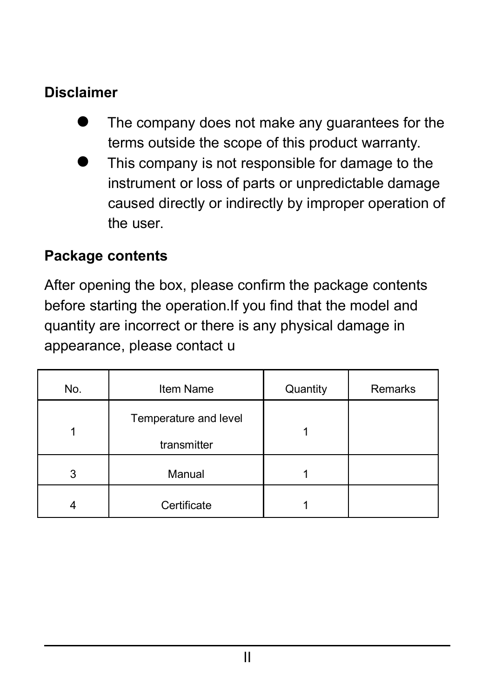## **Disclaimer**

- The company does not make any guarantees for the terms outside the scope of this product warranty.
- This company is not responsible for damage to the instrument or loss of parts or unpredictable damage caused directly or indirectly by improper operation of the user.

#### **Package contents**

After opening the box, please confirm the package contents before starting the operation. If you find that the model and quantity are incorrect or there is any physical damage in appearance, please contact u

| No. | Item Name                            | Quantity | Remarks |
|-----|--------------------------------------|----------|---------|
|     | Temperature and level<br>transmitter |          |         |
| 3   | Manual                               |          |         |
|     | Certificate                          |          |         |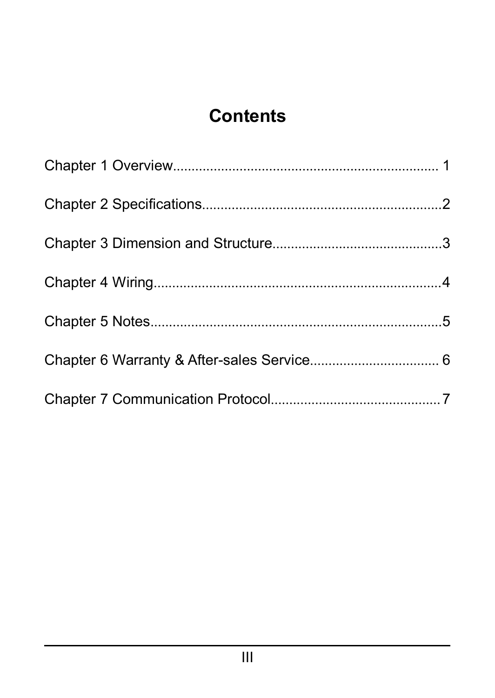## **Contents**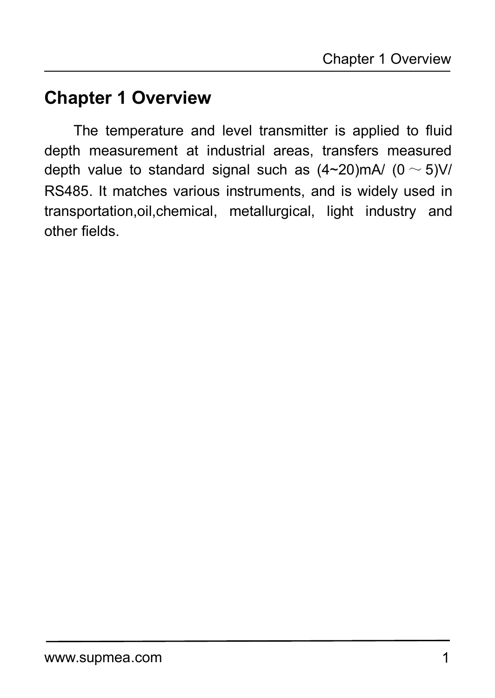## <span id="page-4-0"></span>**Chapter 1 Overview**

The temperature and level transmitter is applied to fluid depth measurement at industrial areas, transfers measured depth value to standard signal such as  $(4 \sim 20)$ mA/  $(0 \sim 5)$ V/ RS485. It matches various instruments, and is widely used in transportation,oil,chemical, metallurgical, light industry and other fields.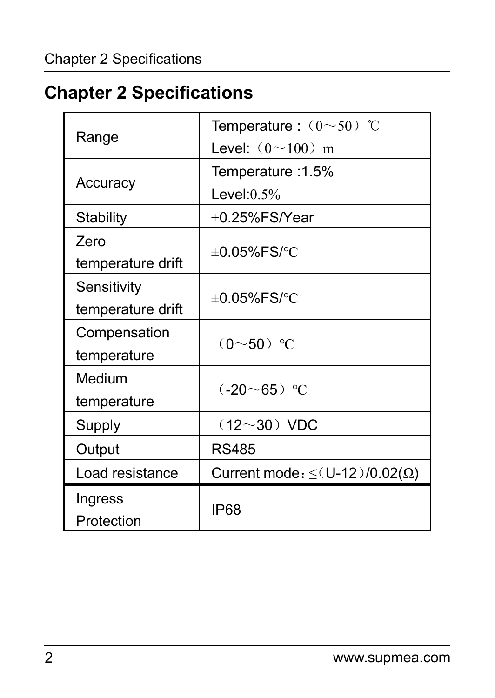# <span id="page-5-0"></span>**Chapter 2 Specifications**

| Range             | Temperature: $(0 \sim 50)$ °C                |  |  |  |
|-------------------|----------------------------------------------|--|--|--|
|                   | Level: $(0 \sim 100)$ m                      |  |  |  |
|                   | 1.5% Temperature                             |  |  |  |
| Accuracy          | Level: $0.5%$                                |  |  |  |
| Stability         | $\pm 0.25\%$ FS/Year                         |  |  |  |
| Zero              |                                              |  |  |  |
| temperature drift | $\pm 0.05\%$ FS/°C                           |  |  |  |
| Sensitivity       |                                              |  |  |  |
| temperature drift | $\pm 0.05\%$ FS/°C                           |  |  |  |
| Compensation      | $(0 - 50)$ °C                                |  |  |  |
| temperature       |                                              |  |  |  |
| Medium            | $(-20 - 65)$ °C                              |  |  |  |
| temperature       |                                              |  |  |  |
| Supply            | $(12~30)$ VDC                                |  |  |  |
| Output            | <b>RS485</b>                                 |  |  |  |
| Load resistance   | Current mode: $\leq$ (U-12)/0.02( $\Omega$ ) |  |  |  |
| Ingress           |                                              |  |  |  |
| Protection        | <b>IP68</b>                                  |  |  |  |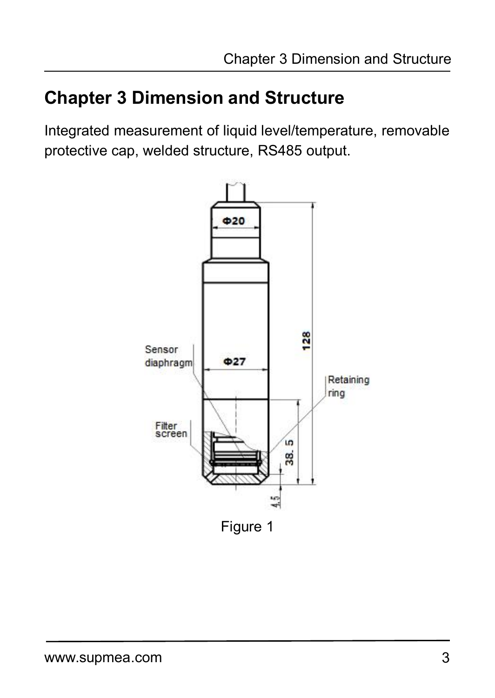## <span id="page-6-0"></span>**Chapter 3 Dimension and Structure**

Integrated measurement of liquid level/temperature, removable protective cap, welded structure, RS485 output.

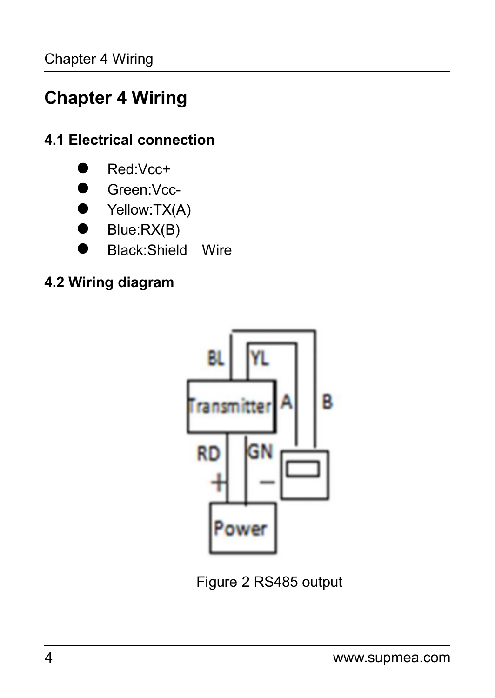# <span id="page-7-0"></span>**Chapter 4 Wiring**

## **4.1 Electrical connection**



- Green:Vcc-
- Yellow:TX(A)
- Blue:RX(B)
- **Black:Shield Wire**

## **4.2 Wiring diagram**



Figure 2 RS485 output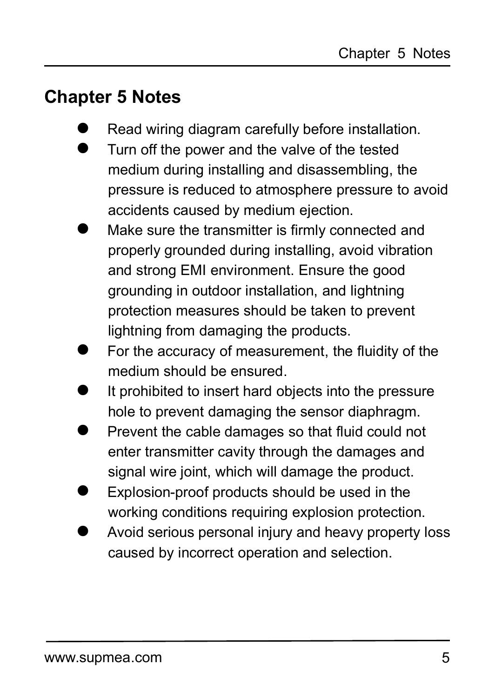## <span id="page-8-0"></span>**Chapter 5 Notes**

- Read wiring diagram carefully before installation.
- Turn off the power and the valve of the tested medium during installing and disassembling, the pressure is reduced to atmosphere pressure to avoid accidents caused by medium ejection.
- Make sure the transmitter is firmly connected and properly grounded during installing, avoid vibration and strong EMI environment. Ensure the good grounding in outdoor installation, and lightning protection measures should be taken to prevent lightning from damaging the products.
- For the accuracy of measurement, the fluidity of the medium should be ensured.
- It prohibited to insert hard objects into the pressure hole to prevent damaging the sensor diaphragm.
- Prevent the cable damages so that fluid could not enter transmitter cavity through the damages and signal wire joint, which will damage the product.
- Explosion-proof products should be used in the working conditions requiring explosion protection.
- <span id="page-8-1"></span> Avoid serious personal injury and heavy property loss caused by incorrect operation and selection.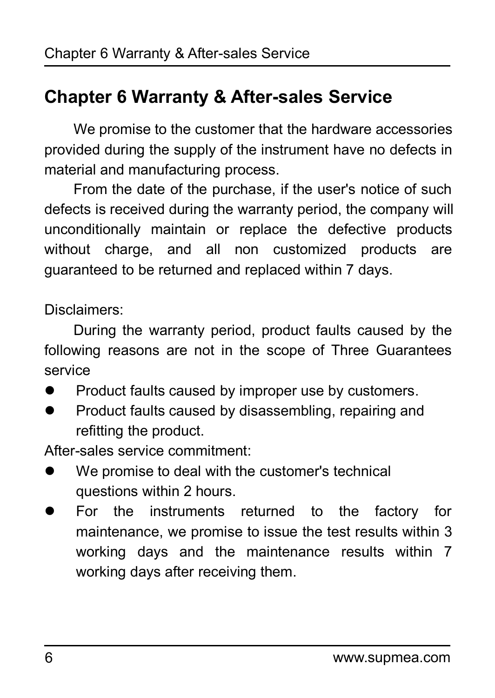## **Chapter 6 Warranty & After-sales Service**

We promise to the customer that the hardware accessories provided during the supply of the instrument have no defects in material and manufacturing process.

From the date of the purchase, if the user's notice of such defects is received during the warranty period, the company will unconditionally maintain or replace the defective products without charge, and all non customized products are guaranteed to be returned and replaced within 7 days.

Disclaimers:

During the warranty period, product faults caused by the following reasons are not in the scope of Three Guarantees service

- **Product faults caused by improper use by customers.**
- **•** Product faults caused by disassembling, repairing and refitting the product.

After-sales service commitment:

- We promise to deal with the customer's technical questions within 2 hours.
- For the instruments returned to the factory for maintenance, we promise to issue the test results within 3 working days and the maintenance results within 7 working days after receiving them.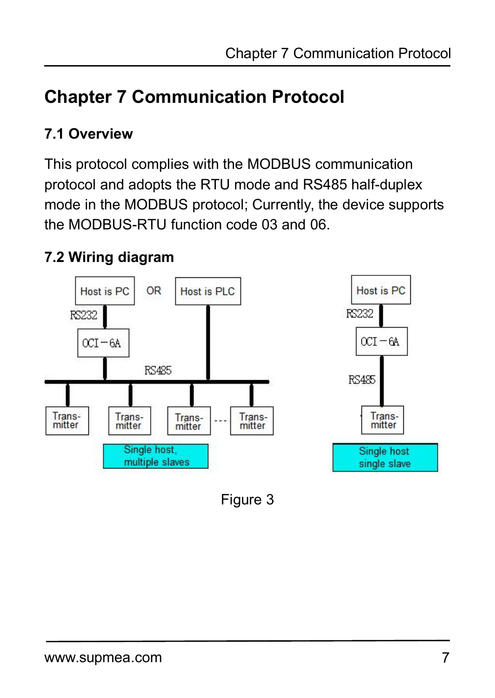## <span id="page-10-0"></span>**7.1 Overview**

This protocol complies with the MODBUS communication protocol and adopts the RTU mode and RS485 half-duplex mode in the MODBUS protocol; Currently, the device supports the MODBUS-RTU function code 03 and 06.

## **7.2 Wiring diagram**



Figure 3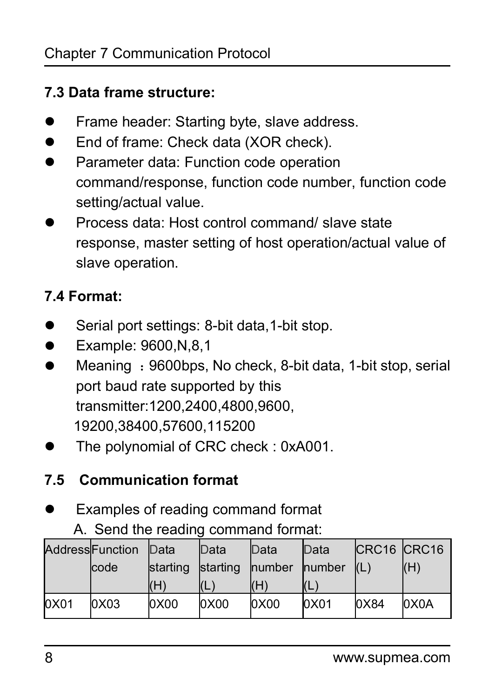#### **7.3 Data frame structure:**

- **•** Frame header: Starting byte, slave address.
- End of frame: Check data (XOR check).
- Parameter data: Function code operation command/response, function code number, function code setting/actual value.
- Process data: Host control command/ slave state response, master setting of host operation/actual value of slave operation.

## **7.4 Format:**

- Serial port settings: 8-bit data, 1-bit stop.
- **•** Example: 9600.N.8.1
- Meaning : 9600bps, No check, 8-bit data, 1-bit stop, serial port baud rate supported by this transmitter:1200,2400,4800,9600, 19200,38400,57600,115200
- The polynomial of CRC check : 0xA001.

## **7.5 Communication format**

- Examples of reading command format
	- A. Send the reading command format:

|      | AddressFunction | Data            | Data            | Data          | Data           | CRC <sub>16</sub> CRC <sub>16</sub> |                   |
|------|-----------------|-----------------|-----------------|---------------|----------------|-------------------------------------|-------------------|
|      | lcode           | <b>starting</b> | <b>starting</b> | <b>humber</b> | <b>Inumber</b> | (L)                                 | (H)               |
|      |                 | (H)             |                 | (H)           | (L)            |                                     |                   |
| 0X01 | 0x03            | 0X00            | 0X00            | 0X00          | 0X01           | 0X84                                | OX <sub>O</sub> A |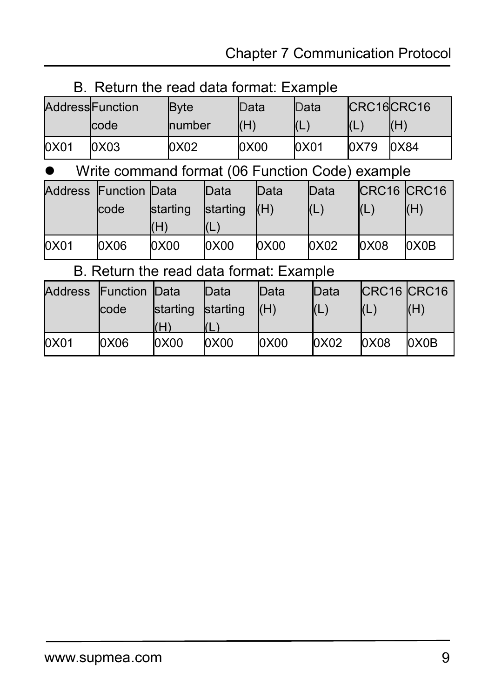| B. Return the read data format: Example |  |
|-----------------------------------------|--|
|-----------------------------------------|--|

|      | AddresslFunction | <b>B</b> yte | Data | Data     |            | CRC16CRC16 |
|------|------------------|--------------|------|----------|------------|------------|
|      | lcode            | number       | (H)  | <b>.</b> | <b>ICL</b> | (H)        |
| 0X01 | 0x03             | 0X02         | 0X00 | 0X01     | 0x79       | 0X84       |

#### Write command format (06 Function Code) example

|      | Address Function Data |                 | Data            | Data | Data | CRC <sub>16</sub> CRC <sub>16</sub> |      |
|------|-----------------------|-----------------|-----------------|------|------|-------------------------------------|------|
|      | code                  | <b>starting</b> | <b>starting</b> | (H)  | (L)  | I(L                                 | (H)  |
|      |                       | (H)             | YL.             |      |      |                                     |      |
| 0X01 | 0X06                  | 0X00            | 0X00            | 0X00 | 0X02 | 0x08                                | 0X0B |

## B. Return the read data format: Example

|      | Address Function Data |                 | Data     | Data  | Data | CRC16 CRC16 |      |
|------|-----------------------|-----------------|----------|-------|------|-------------|------|
|      | code                  | <b>starting</b> | starting | (H)   | (L)  | (L)         | (H)  |
|      |                       | (H)             | I(L)     |       |      |             |      |
| 0X01 | 0X06                  | 0X00            | 0X00     | loxoo | 0X02 | 0X08        | 0X0B |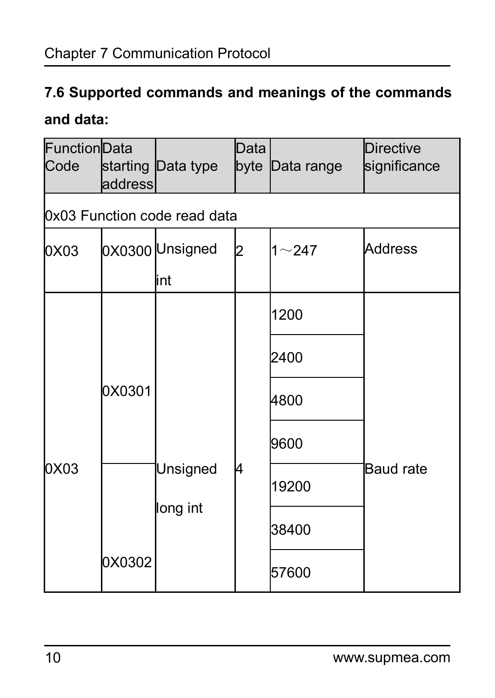## **7.6 Supported commands and meanings of the commands**

## **and data:**

| FunctionData<br>Code | address | starting Data type           | Data | byte Data range | Directive<br>significance |
|----------------------|---------|------------------------------|------|-----------------|---------------------------|
|                      |         | 0x03 Function code read data |      |                 |                           |
| 0X03                 |         | 0X0300 Unsigned<br>lint      | I2   | $1 - 247$       | Address                   |
|                      |         |                              |      | 1200            |                           |
|                      |         |                              |      | 2400            |                           |
|                      | 0X0301  |                              | 4    | 4800            |                           |
|                      |         |                              |      | 9600            |                           |
| 0X03                 |         | Unsigned                     |      | 19200           | Baud rate                 |
|                      |         | long int                     |      | 38400           |                           |
|                      | 0X0302  |                              |      | 57600           |                           |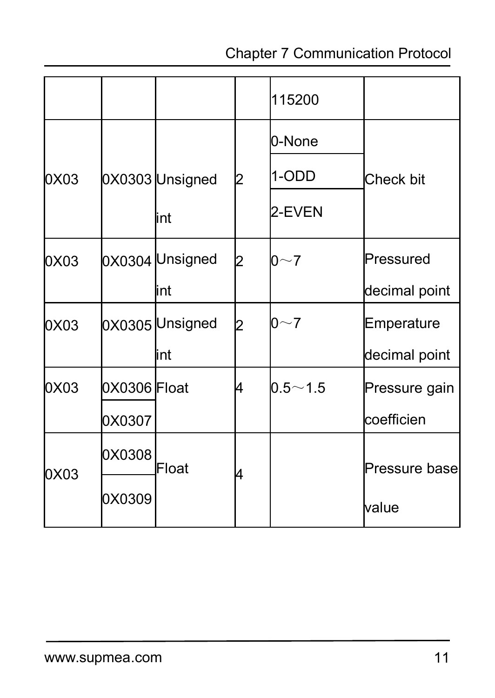|      |              |                 |    | 115200      |               |
|------|--------------|-----------------|----|-------------|---------------|
|      |              |                 |    | 0-None      |               |
| 0X03 |              | 0X0303 Unsigned | 12 | 1-ODD       | Check bit     |
|      |              | lint            |    | 2-EVEN      |               |
| 0X03 |              | 0X0304 Unsigned | 2  | $0~\sim$ 7  | Pressured     |
|      |              | lint            |    |             | decimal point |
| 0X03 |              | 0X0305 Unsigned | l2 | 0~1         | Emperature    |
|      |              | lint            |    |             | decimal point |
| 0X03 | 0X0306 Float |                 | 14 | $0.5 - 1.5$ | Pressure gain |
|      | 0X0307       |                 |    |             | coefficien    |
|      | 0X0308       | Float           |    |             | Pressure base |
| 0X03 | 0X0309       |                 | 14 |             | value         |
|      |              |                 |    |             |               |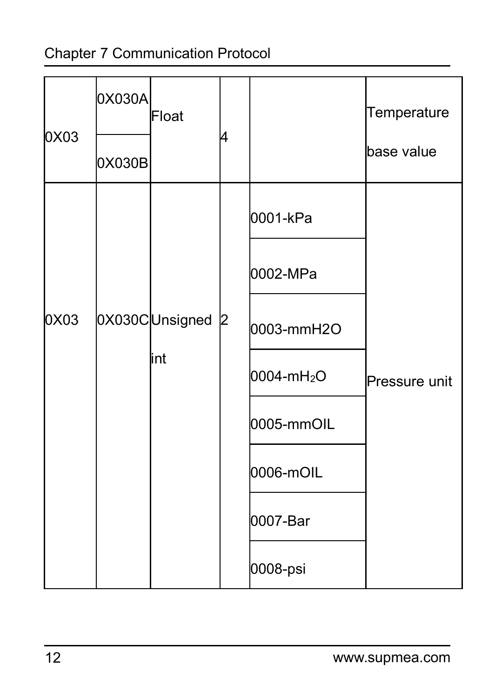|      | 0X030A | Float            |    |                        | Temperature   |  |
|------|--------|------------------|----|------------------------|---------------|--|
| 0X03 | 0X030B |                  | 14 |                        | base value    |  |
|      |        |                  |    | 0001-kPa               |               |  |
|      |        |                  |    | 0002-MPa               |               |  |
| 0X03 |        | 0X030CUnsigned 2 |    | 0003-mmH2O             |               |  |
|      |        | lint             |    | 0004-mH <sub>2</sub> O | Pressure unit |  |
|      |        |                  |    | 0005-mmOIL             |               |  |
|      |        |                  |    | 0006-mOIL              |               |  |
|      |        |                  |    | 0007-Bar               |               |  |
|      |        |                  |    | 0008-psi               |               |  |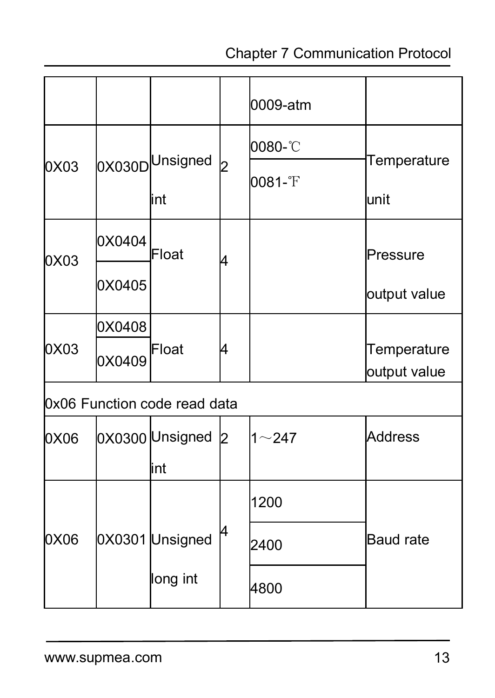|      |        |                              |              | 0009-atm  |              |  |
|------|--------|------------------------------|--------------|-----------|--------------|--|
|      |        |                              |              | 0080-°C   | Temperature  |  |
| 0X03 |        | 0X030DUnsigned<br>lint       | $\mathbf{z}$ | 0081-°F   | lunit        |  |
|      | 0X0404 |                              |              |           |              |  |
| 0X03 |        | Float                        | 14           |           | Pressure     |  |
|      | 0X0405 |                              |              |           | output value |  |
| 0X03 | 0X0408 | Float                        | 14           |           | Temperature  |  |
|      | 0X0409 |                              |              |           | output value |  |
|      |        | 0x06 Function code read data |              |           |              |  |
| 0X06 |        | 0X0300 Unsigned              | 12           | $1 - 247$ | Address      |  |
|      |        | lint                         |              |           |              |  |
|      |        |                              |              | 1200      |              |  |
| 0X06 |        | 0X0301 Unsigned              |              | 2400      | Baud rate    |  |
|      |        | long int                     |              | 4800      |              |  |
|      |        |                              |              |           |              |  |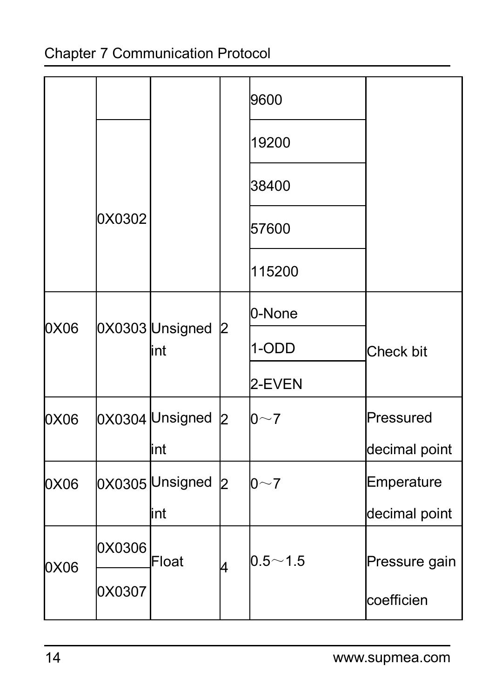|                      |        |                           |    | 9600        |               |
|----------------------|--------|---------------------------|----|-------------|---------------|
|                      |        |                           |    | 19200       |               |
|                      |        |                           |    | 38400       |               |
|                      | 0X0302 |                           |    | 57600       |               |
|                      |        |                           |    | 115200      |               |
|                      |        | 0X0303 Unsigned 2<br>lint |    | 0-None      | Check bit     |
|                      |        |                           |    | 1-ODD       |               |
|                      |        |                           |    | 2-EVEN      |               |
|                      |        | 0X0304 Unsigned 2         |    | $0\sim7$    | Pressured     |
| 0X06<br>0X06<br>0X06 |        | lint                      |    |             | decimal point |
|                      |        | 0X0305 Unsigned 2         |    | $0\sim7$    | Emperature    |
|                      |        | lint                      |    |             | decimal point |
| 0X06                 | 0X0306 | Float                     | l4 | $0.5 - 1.5$ | Pressure gain |
|                      | 0X0307 |                           |    |             | coefficien    |
|                      |        |                           |    |             |               |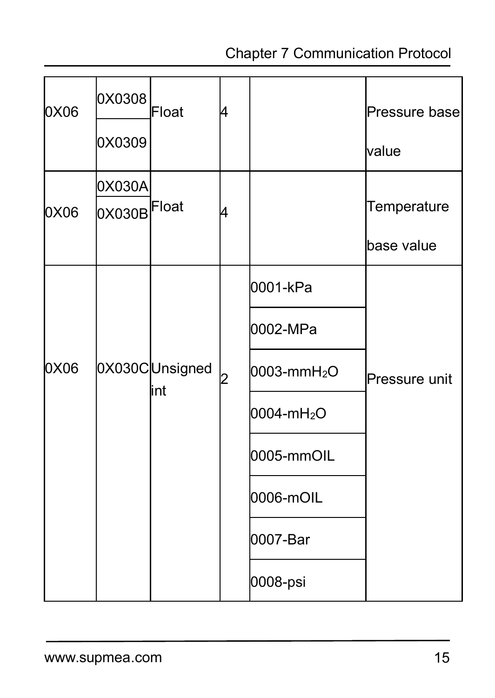| 0X06 | 0X0308                | Float                  | l4 |                         | Pressure base |  |
|------|-----------------------|------------------------|----|-------------------------|---------------|--|
|      | 0X0309                |                        |    |                         | lvalue        |  |
| 0X06 | 0X030A<br>DX030BFloat |                        | l4 |                         | Temperature   |  |
|      |                       |                        |    |                         | base value    |  |
| 0X06 |                       | 0X030CUnsigned<br>lint | l2 | 0001-kPa                | Pressure unit |  |
|      |                       |                        |    | 0002-MPa                |               |  |
|      |                       |                        |    | 0003-mmH <sub>2</sub> O |               |  |
|      |                       |                        |    | 0004-mH <sub>2</sub> O  |               |  |
|      |                       |                        |    | 0005-mmOIL              |               |  |
|      |                       |                        |    | 0006-mOIL               |               |  |
|      |                       |                        |    | 0007-Bar                |               |  |
|      |                       |                        |    | 0008-psi                |               |  |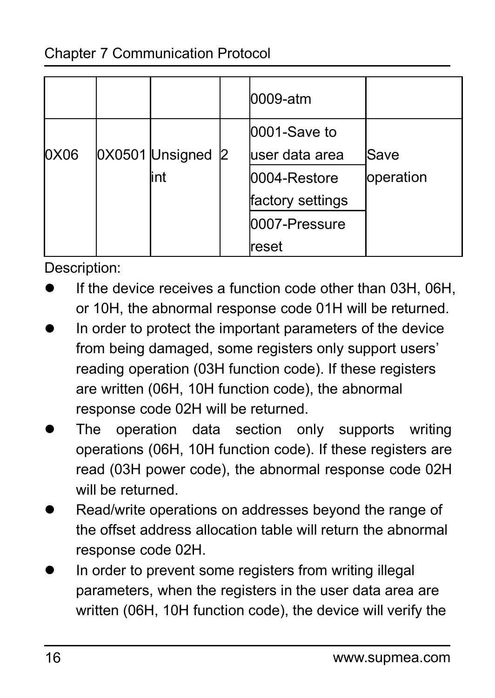|      |  |                   | 0009-atm         |           |  |
|------|--|-------------------|------------------|-----------|--|
|      |  |                   | 0001-Save to     |           |  |
| 0X06 |  | 0X0501 Unsigned 2 | luser data area  | Save      |  |
|      |  | lint              | 0004-Restore     | operation |  |
|      |  |                   | factory settings |           |  |
|      |  |                   | 0007-Pressure    |           |  |
|      |  |                   | reset            |           |  |

Description:

- If the device receives a function code other than 03H, 06H, or 10H, the abnormal response code 01H will be returned.
- In order to protect the important parameters of the device from being damaged, some registers only support users' reading operation (03H function code). If these registers are written (06H, 10H function code), the abnormal response code 02H will be returned.
- The operation data section only supports writing operations (06H, 10H function code). If these registers are read (03H power code), the abnormal response code 02H will be returned.
- Read/write operations on addresses beyond the range of the offset address allocation table will return the abnormal response code 02H.
- In order to prevent some registers from writing illegal parameters, when the registers in the user data area are written (06H, 10H function code), the device will verify the